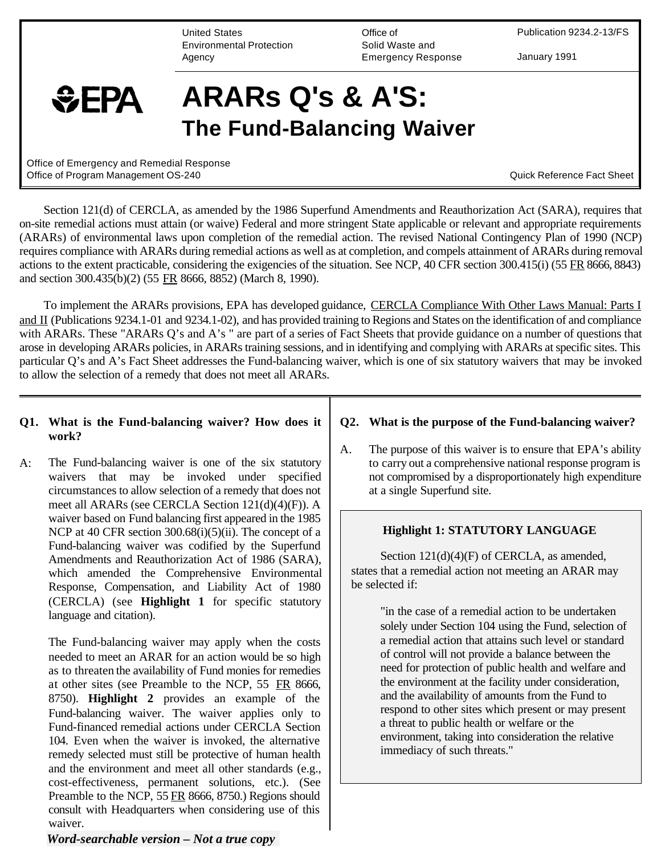United States Environmental Protection Agency

Office of Solid Waste and Emergency Response Publication 9234.2-13/FS

January 1991

# $EPA$

## **ARARs Q's & A'S: The Fund-Balancing Waiver**

Office of Emergency and Remedial Response Office of Program Management OS-240 **Contract COS-240** Cuick Reference Fact Sheet

Section 121(d) of CERCLA, as amended by the 1986 Superfund Amendments and Reauthorization Act (SARA), requires that on-site remedial actions must attain (or waive) Federal and more stringent State applicable or relevant and appropriate requirements (ARARs) of environmental laws upon completion of the remedial action. The revised National Contingency Plan of 1990 (NCP) requires compliance with ARARs during remedial actions as well as at completion, and compels attainment of ARARs during removal actions to the extent practicable, considering the exigencies of the situation. See NCP, 40 CFR section 300.415(i) (55 FR 8666, 8843) and section 300.435(b)(2) (55 FR 8666, 8852) (March 8, 1990).

To implement the ARARs provisions, EPA has developed guidance, CERCLA Compliance With Other Laws Manual: Parts I and II (Publications 9234.1-01 and 9234.1-02), and has provided training to Regions and States on the identification of and compliance with ARARs. These "ARARs Q's and A's " are part of a series of Fact Sheets that provide guidance on a number of questions that arose in developing ARARs policies, in ARARs training sessions, and in identifying and complying with ARARs at specific sites. This particular Q's and A's Fact Sheet addresses the Fund-balancing waiver, which is one of six statutory waivers that may be invoked to allow the selection of a remedy that does not meet all ARARs.

#### **Q1. What is the Fund-balancing waiver? How does it work?**

A: The Fund-balancing waiver is one of the six statutory waivers that may be invoked under specified circumstances to allow selection of a remedy that does not meet all ARARs (see CERCLA Section 121(d)(4)(F)). A waiver based on Fund balancing first appeared in the 1985 NCP at 40 CFR section 300.68(i)(5)(ii). The concept of a Fund-balancing waiver was codified by the Superfund Amendments and Reauthorization Act of 1986 (SARA), which amended the Comprehensive Environmental Response, Compensation, and Liability Act of 1980 (CERCLA) (see **Highlight 1** for specific statutory language and citation).

The Fund-balancing waiver may apply when the costs needed to meet an ARAR for an action would be so high as to threaten the availability of Fund monies for remedies at other sites (see Preamble to the NCP, 55 FR 8666, 8750). **Highlight 2** provides an example of the Fund-balancing waiver. The waiver applies only to Fund-financed remedial actions under CERCLA Section 104. Even when the waiver is invoked, the alternative remedy selected must still be protective of human health and the environment and meet all other standards (e.g., cost-effectiveness, permanent solutions, etc.). (See Preamble to the NCP, 55 FR 8666, 8750.) Regions should consult with Headquarters when considering use of this waiver.

#### *Word-searchable version – Not a true copy*

#### **Q2. What is the purpose of the Fund-balancing waiver?**

A. The purpose of this waiver is to ensure that EPA's ability to carry out a comprehensive national response program is not compromised by a disproportionately high expenditure at a single Superfund site.

#### **Highlight 1: STATUTORY LANGUAGE**

Section  $121(d)(4)(F)$  of CERCLA, as amended, states that a remedial action not meeting an ARAR may be selected if:

> "in the case of a remedial action to be undertaken solely under Section 104 using the Fund, selection of a remedial action that attains such level or standard of control will not provide a balance between the need for protection of public health and welfare and the environment at the facility under consideration, and the availability of amounts from the Fund to respond to other sites which present or may present a threat to public health or welfare or the environment, taking into consideration the relative immediacy of such threats."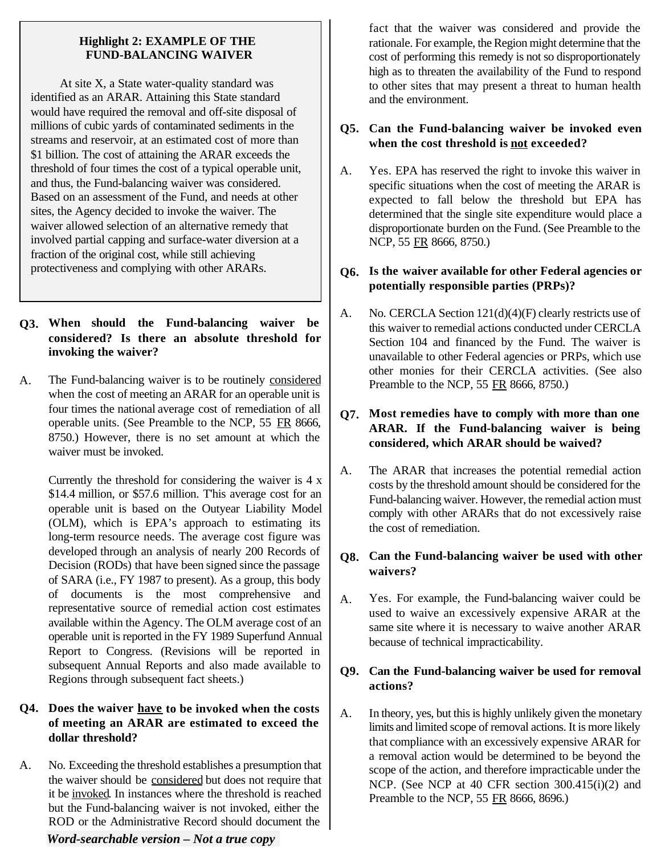#### **Highlight 2: EXAMPLE OF THE FUND-BALANCING WAIVER**

At site X, a State water-quality standard was identified as an ARAR. Attaining this State standard would have required the removal and off-site disposal of millions of cubic yards of contaminated sediments in the streams and reservoir, at an estimated cost of more than \$1 billion. The cost of attaining the ARAR exceeds the threshold of four times the cost of a typical operable unit, and thus, the Fund-balancing waiver was considered. Based on an assessment of the Fund, and needs at other sites, the Agency decided to invoke the waiver. The waiver allowed selection of an alternative remedy that involved partial capping and surface-water diversion at a fraction of the original cost, while still achieving protectiveness and complying with other ARARs.

#### **Q3. When should the Fund-balancing waiver be considered? Is there an absolute threshold for invoking the waiver?**

A. The Fund-balancing waiver is to be routinely considered when the cost of meeting an ARAR for an operable unit is four times the national average cost of remediation of all operable units. (See Preamble to the NCP, 55 FR 8666, 8750.) However, there is no set amount at which the waiver must be invoked.

Currently the threshold for considering the waiver is 4 x \$14.4 million, or \$57.6 million. T'his average cost for an operable unit is based on the Outyear Liability Model (OLM), which is EPA's approach to estimating its long-term resource needs. The average cost figure was developed through an analysis of nearly 200 Records of Decision (RODs) that have been signed since the passage of SARA (i.e., FY 1987 to present). As a group, this body of documents is the most comprehensive and representative source of remedial action cost estimates available within the Agency. The OLM average cost of an operable unit is reported in the FY 1989 Superfund Annual Report to Congress. (Revisions will be reported in subsequent Annual Reports and also made available to Regions through subsequent fact sheets.)

#### **Q4. Does the waiver have to be invoked when the costs of meeting an ARAR are estimated to exceed the dollar threshold?**

A. No. Exceeding the threshold establishes a presumption that the waiver should be considered but does not require that it be invoked. In instances where the threshold is reached but the Fund-balancing waiver is not invoked, either the ROD or the Administrative Record should document the

#### *Word-searchable version – Not a true copy*

fact that the waiver was considered and provide the rationale. For example, the Region might determine that the cost of performing this remedy is not so disproportionately high as to threaten the availability of the Fund to respond to other sites that may present a threat to human health and the environment.

#### **Q5. Can the Fund-balancing waiver be invoked even when the cost threshold is not exceeded?**

A. Yes. EPA has reserved the right to invoke this waiver in specific situations when the cost of meeting the ARAR is expected to fall below the threshold but EPA has determined that the single site expenditure would place a disproportionate burden on the Fund. (See Preamble to the NCP, 55 FR 8666, 8750.)

#### **Q6. Is the waiver available for other Federal agencies or potentially responsible parties (PRPs)?**

A. No. CERCLA Section  $121(d)(4)(F)$  clearly restricts use of this waiver to remedial actions conducted under CERCLA Section 104 and financed by the Fund. The waiver is unavailable to other Federal agencies or PRPs, which use other monies for their CERCLA activities. (See also Preamble to the NCP, 55 FR 8666, 8750.)

#### **Q7. Most remedies have to comply with more than one ARAR. If the Fund-balancing waiver is being considered, which ARAR should be waived?**

A. The ARAR that increases the potential remedial action costs by the threshold amount should be considered for the Fund-balancing waiver. However, the remedial action must comply with other ARARs that do not excessively raise the cost of remediation.

#### **Q8. Can the Fund-balancing waiver be used with other waivers?**

A. Yes. For example, the Fund-balancing waiver could be used to waive an excessively expensive ARAR at the same site where it is necessary to waive another ARAR because of technical impracticability.

#### **Q9. Can the Fund-balancing waiver be used for removal actions?**

A. In theory, yes, but this is highly unlikely given the monetary limits and limited scope of removal actions. It is more likely that compliance with an excessively expensive ARAR for a removal action would be determined to be beyond the scope of the action, and therefore impracticable under the NCP. (See NCP at 40 CFR section 300.415(i)(2) and Preamble to the NCP, 55 FR 8666, 8696.)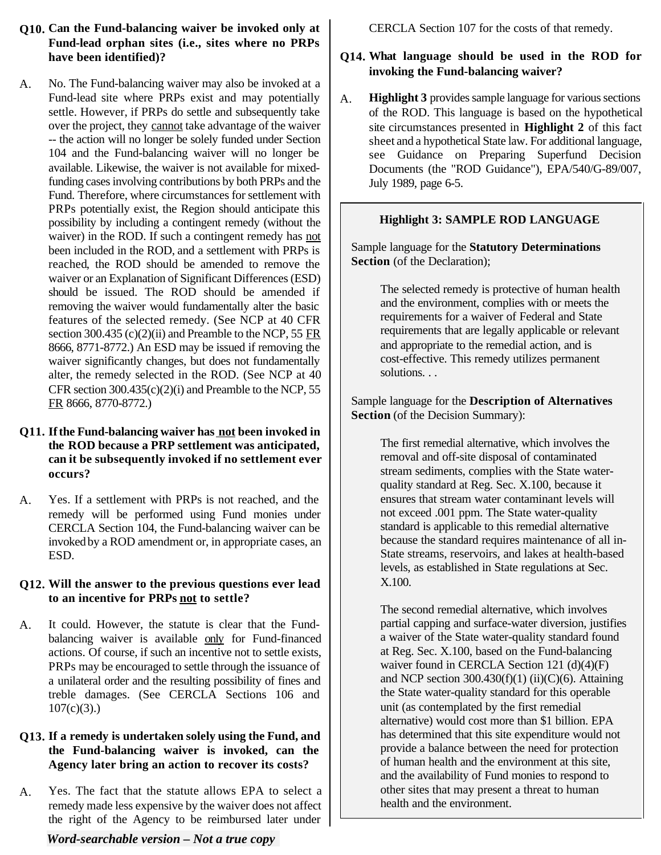- **Q10. Can the Fund-balancing waiver be invoked only at Fund-lead orphan sites (i.e., sites where no PRPs have been identified)?**
- A. No. The Fund-balancing waiver may also be invoked at a Fund-lead site where PRPs exist and may potentially settle. However, if PRPs do settle and subsequently take over the project, they cannot take advantage of the waiver -- the action will no longer be solely funded under Section 104 and the Fund-balancing waiver will no longer be available. Likewise, the waiver is not available for mixedfunding cases involving contributions by both PRPs and the Fund. Therefore, where circumstances for settlement with PRPs potentially exist, the Region should anticipate this possibility by including a contingent remedy (without the waiver) in the ROD. If such a contingent remedy has not been included in the ROD, and a settlement with PRPs is reached, the ROD should be amended to remove the waiver or an Explanation of Significant Differences (ESD) should be issued. The ROD should be amended if removing the waiver would fundamentally alter the basic features of the selected remedy. (See NCP at 40 CFR section 300.435  $(c)(2)(ii)$  and Preamble to the NCP, 55 FR 8666, 8771-8772.) An ESD may be issued if removing the waiver significantly changes, but does not fundamentally alter, the remedy selected in the ROD. (See NCP at 40 CFR section  $300.435(c)(2)(i)$  and Preamble to the NCP, 55 FR 8666, 8770-8772.)

#### **Q11. If the Fund-balancing waiver has not been invoked in the ROD because a PRP settlement was anticipated, can it be subsequently invoked if no settlement ever occurs?**

A. Yes. If a settlement with PRPs is not reached, and the remedy will be performed using Fund monies under CERCLA Section 104, the Fund-balancing waiver can be invoked by a ROD amendment or, in appropriate cases, an ESD.

#### **Q12. Will the answer to the previous questions ever lead to an incentive for PRPs not to settle?**

A. It could. However, the statute is clear that the Fundbalancing waiver is available only for Fund-financed actions. Of course, if such an incentive not to settle exists, PRPs may be encouraged to settle through the issuance of a unilateral order and the resulting possibility of fines and treble damages. (See CERCLA Sections 106 and  $107(c)(3)$ .)

#### **Q13. If a remedy is undertaken solely using the Fund, and the Fund-balancing waiver is invoked, can the Agency later bring an action to recover its costs?**

A. Yes. The fact that the statute allows EPA to select a remedy made less expensive by the waiver does not affect the right of the Agency to be reimbursed later under

CERCLA Section 107 for the costs of that remedy.

### **Q14. What language should be used in the ROD for invoking the Fund-balancing waiver?**

A. **Highlight 3** provides sample language for various sections of the ROD. This language is based on the hypothetical site circumstances presented in **Highlight 2** of this fact sheet and a hypothetical State law. For additional language, see Guidance on Preparing Superfund Decision Documents (the "ROD Guidance"), EPA/540/G-89/007, July 1989, page 6-5.

### **Highlight 3: SAMPLE ROD LANGUAGE**

Sample language for the **Statutory Determinations Section** (of the Declaration);

> The selected remedy is protective of human health and the environment, complies with or meets the requirements for a waiver of Federal and State requirements that are legally applicable or relevant and appropriate to the remedial action, and is cost-effective. This remedy utilizes permanent solutions. . .

Sample language for the **Description of Alternatives Section** (of the Decision Summary):

> The first remedial alternative, which involves the removal and off-site disposal of contaminated stream sediments, complies with the State waterquality standard at Reg. Sec. X.100, because it ensures that stream water contaminant levels will not exceed .001 ppm. The State water-quality standard is applicable to this remedial alternative because the standard requires maintenance of all in-State streams, reservoirs, and lakes at health-based levels, as established in State regulations at Sec. X.100.

> The second remedial alternative, which involves partial capping and surface-water diversion, justifies a waiver of the State water-quality standard found at Reg. Sec. X.100, based on the Fund-balancing waiver found in CERCLA Section 121 (d)(4)(F) and NCP section  $300.430(f)(1)$  (ii)(C)(6). Attaining the State water-quality standard for this operable unit (as contemplated by the first remedial alternative) would cost more than \$1 billion. EPA has determined that this site expenditure would not provide a balance between the need for protection of human health and the environment at this site, and the availability of Fund monies to respond to other sites that may present a threat to human health and the environment.